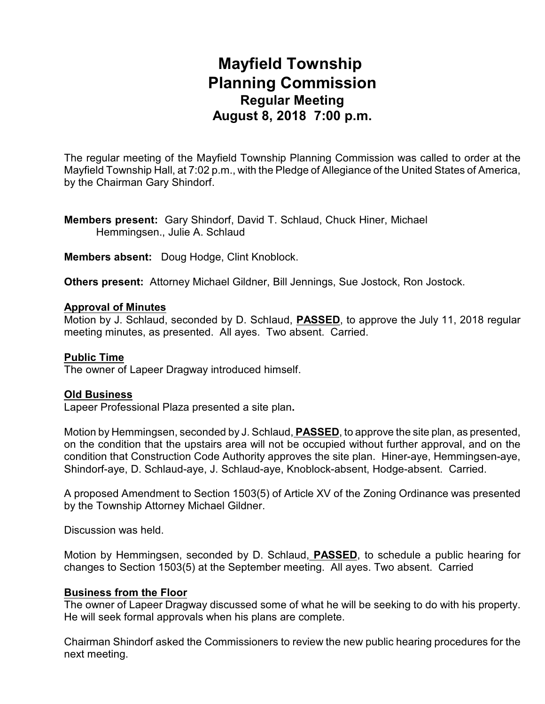# **Mayfield Township Planning Commission Regular Meeting August 8, 2018 7:00 p.m.**

The regular meeting of the Mayfield Township Planning Commission was called to order at the Mayfield Township Hall, at 7:02 p.m., with the Pledge of Allegiance of the United States of America, by the Chairman Gary Shindorf.

**Members present:** Gary Shindorf, David T. Schlaud, Chuck Hiner, Michael Hemmingsen., Julie A. Schlaud

**Members absent:** Doug Hodge, Clint Knoblock.

**Others present:** Attorney Michael Gildner, Bill Jennings, Sue Jostock, Ron Jostock.

#### **Approval of Minutes**

Motion by J. Schlaud, seconded by D. Schlaud, **PASSED**, to approve the July 11, 2018 regular meeting minutes, as presented. All ayes. Two absent. Carried.

#### **Public Time**

The owner of Lapeer Dragway introduced himself.

#### **Old Business**

Lapeer Professional Plaza presented a site plan**.**

Motion by Hemmingsen, seconded by J. Schlaud, **PASSED**, to approve the site plan, as presented, on the condition that the upstairs area will not be occupied without further approval, and on the condition that Construction Code Authority approves the site plan. Hiner-aye, Hemmingsen-aye, Shindorf-aye, D. Schlaud-aye, J. Schlaud-aye, Knoblock-absent, Hodge-absent. Carried.

A proposed Amendment to Section 1503(5) of Article XV of the Zoning Ordinance was presented by the Township Attorney Michael Gildner.

Discussion was held.

Motion by Hemmingsen, seconded by D. Schlaud, **PASSED**, to schedule a public hearing for changes to Section 1503(5) at the September meeting. All ayes. Two absent. Carried

#### **Business from the Floor**

The owner of Lapeer Dragway discussed some of what he will be seeking to do with his property. He will seek formal approvals when his plans are complete.

Chairman Shindorf asked the Commissioners to review the new public hearing procedures for the next meeting.